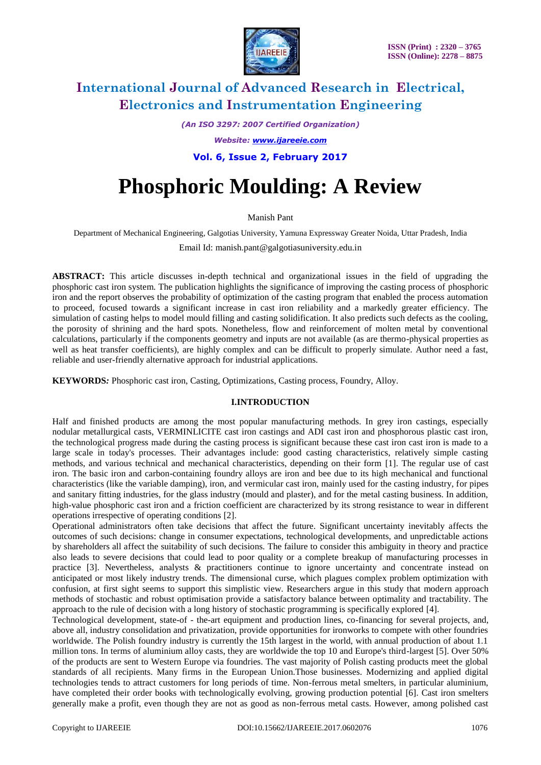

*(An ISO 3297: 2007 Certified Organization)*

*Website: [www.ijareeie.com](http://www.ijareeie.com/)*

**Vol. 6, Issue 2, February 2017**

# **Phosphoric Moulding: A Review**

Manish Pant

Department of Mechanical Engineering, Galgotias University, Yamuna Expressway Greater Noida, Uttar Pradesh, India

Email Id: manish.pant@galgotiasuniversity.edu.in

**ABSTRACT:** This article discusses in-depth technical and organizational issues in the field of upgrading the phosphoric cast iron system. The publication highlights the significance of improving the casting process of phosphoric iron and the report observes the probability of optimization of the casting program that enabled the process automation to proceed, focused towards a significant increase in cast iron reliability and a markedly greater efficiency. The simulation of casting helps to model mould filling and casting solidification. It also predicts such defects as the cooling, the porosity of shrining and the hard spots. Nonetheless, flow and reinforcement of molten metal by conventional calculations, particularly if the components geometry and inputs are not available (as are thermo-physical properties as well as heat transfer coefficients), are highly complex and can be difficult to properly simulate. Author need a fast, reliable and user-friendly alternative approach for industrial applications.

**KEYWORDS***:* Phosphoric cast iron, Casting, Optimizations, Casting process, Foundry, Alloy.

### **I.INTRODUCTION**

Half and finished products are among the most popular manufacturing methods. In grey iron castings, especially nodular metallurgical casts, VERMINLICITE cast iron castings and ADI cast iron and phosphorous plastic cast iron, the technological progress made during the casting process is significant because these cast iron cast iron is made to a large scale in today's processes. Their advantages include: good casting characteristics, relatively simple casting methods, and various technical and mechanical characteristics, depending on their form [1]. The regular use of cast iron. The basic iron and carbon-containing foundry alloys are iron and bee due to its high mechanical and functional characteristics (like the variable damping), iron, and vermicular cast iron, mainly used for the casting industry, for pipes and sanitary fitting industries, for the glass industry (mould and plaster), and for the metal casting business. In addition, high-value phosphoric cast iron and a friction coefficient are characterized by its strong resistance to wear in different operations irrespective of operating conditions [2].

Operational administrators often take decisions that affect the future. Significant uncertainty inevitably affects the outcomes of such decisions: change in consumer expectations, technological developments, and unpredictable actions by shareholders all affect the suitability of such decisions. The failure to consider this ambiguity in theory and practice also leads to severe decisions that could lead to poor quality or a complete breakup of manufacturing processes in practice [3]. Nevertheless, analysts & practitioners continue to ignore uncertainty and concentrate instead on anticipated or most likely industry trends. The dimensional curse, which plagues complex problem optimization with confusion, at first sight seems to support this simplistic view. Researchers argue in this study that modern approach methods of stochastic and robust optimisation provide a satisfactory balance between optimality and tractability. The approach to the rule of decision with a long history of stochastic programming is specifically explored [4].

Technological development, state-of - the-art equipment and production lines, co-financing for several projects, and, above all, industry consolidation and privatization, provide opportunities for ironworks to compete with other foundries worldwide. The Polish foundry industry is currently the 15th largest in the world, with annual production of about 1.1 million tons. In terms of aluminium alloy casts, they are worldwide the top 10 and Europe's third-largest [5]. Over 50% of the products are sent to Western Europe via foundries. The vast majority of Polish casting products meet the global standards of all recipients. Many firms in the European Union.Those businesses. Modernizing and applied digital technologies tends to attract customers for long periods of time. Non-ferrous metal smelters, in particular aluminium, have completed their order books with technologically evolving, growing production potential [6]. Cast iron smelters generally make a profit, even though they are not as good as non-ferrous metal casts. However, among polished cast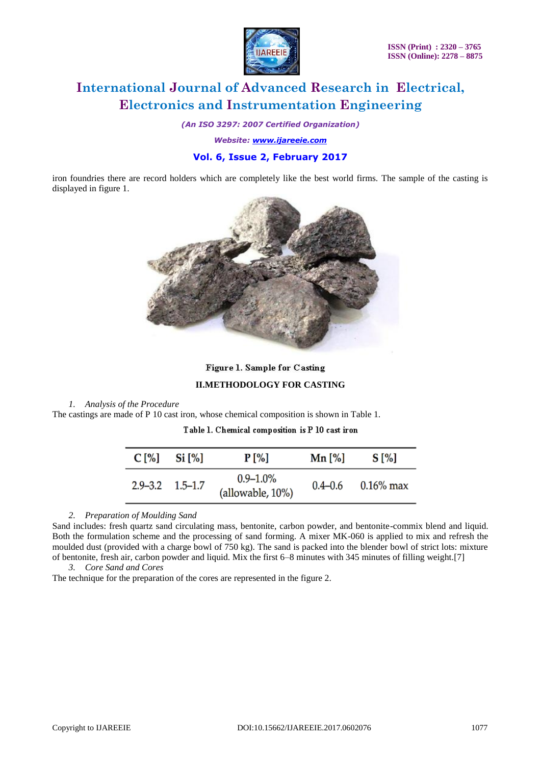

*(An ISO 3297: 2007 Certified Organization)*

*Website: [www.ijareeie.com](http://www.ijareeie.com/)*

## **Vol. 6, Issue 2, February 2017**

iron foundries there are record holders which are completely like the best world firms. The sample of the casting is displayed in figure 1.



### Figure 1. Sample for Casting

### **II.METHODOLOGY FOR CASTING**

### *1. Analysis of the Procedure*

The castings are made of P 10 cast iron, whose chemical composition is shown in Table 1.

| $C[\%]$ | $Si$ [%]                | <b>P</b> [%]                      | Mn [%]      | $S[\%]$      |
|---------|-------------------------|-----------------------------------|-------------|--------------|
|         | $2.9 - 3.2$ $1.5 - 1.7$ | $0.9 - 1.0\%$<br>(allowable, 10%) | $0.4 - 0.6$ | $0.16\%$ max |

*2. Preparation of Moulding Sand*

Sand includes: fresh quartz sand circulating mass, bentonite, carbon powder, and bentonite-commix blend and liquid. Both the formulation scheme and the processing of sand forming. A mixer MK-060 is applied to mix and refresh the moulded dust (provided with a charge bowl of 750 kg). The sand is packed into the blender bowl of strict lots: mixture of bentonite, fresh air, carbon powder and liquid. Mix the first 6–8 minutes with 345 minutes of filling weight.[7]

*3. Core Sand and Cores*

The technique for the preparation of the cores are represented in the figure 2.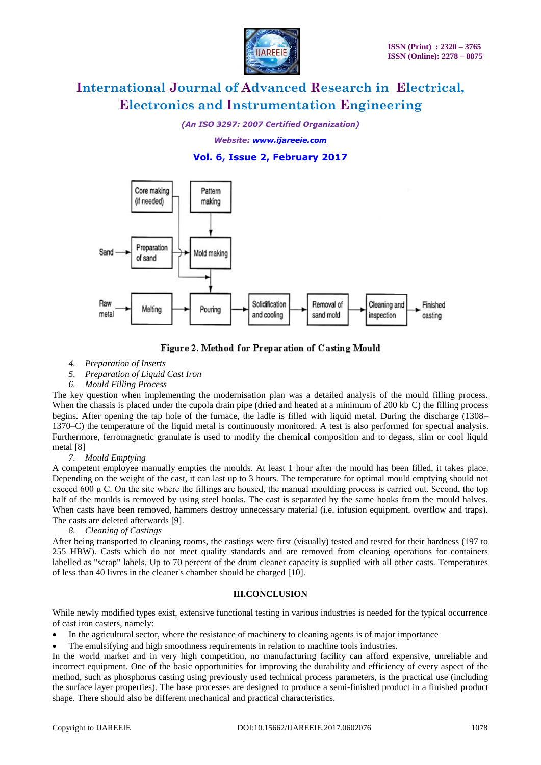

*(An ISO 3297: 2007 Certified Organization)*

*Website: [www.ijareeie.com](http://www.ijareeie.com/)*

**Vol. 6, Issue 2, February 2017**



# Figure 2. Method for Preparation of Casting Mould

- *4. Preparation of Inserts*
- *5. Preparation of Liquid Cast Iron*
- *6. Mould Filling Process*

The key question when implementing the modernisation plan was a detailed analysis of the mould filling process. When the chassis is placed under the cupola drain pipe (dried and heated at a minimum of 200 kb C) the filling process begins. After opening the tap hole of the furnace, the ladle is filled with liquid metal. During the discharge (1308– 1370–C) the temperature of the liquid metal is continuously monitored. A test is also performed for spectral analysis. Furthermore, ferromagnetic granulate is used to modify the chemical composition and to degass, slim or cool liquid metal [8]

### *7. Mould Emptying*

A competent employee manually empties the moulds. At least 1 hour after the mould has been filled, it takes place. Depending on the weight of the cast, it can last up to 3 hours. The temperature for optimal mould emptying should not exceed  $600 \mu$  C. On the site where the fillings are housed, the manual moulding process is carried out. Second, the top half of the moulds is removed by using steel hooks. The cast is separated by the same hooks from the mould halves. When casts have been removed, hammers destroy unnecessary material (i.e. infusion equipment, overflow and traps). The casts are deleted afterwards [9].

### *8. Cleaning of Castings*

After being transported to cleaning rooms, the castings were first (visually) tested and tested for their hardness (197 to 255 HBW). Casts which do not meet quality standards and are removed from cleaning operations for containers labelled as "scrap" labels. Up to 70 percent of the drum cleaner capacity is supplied with all other casts. Temperatures of less than 40 livres in the cleaner's chamber should be charged [10].

### **III.CONCLUSION**

While newly modified types exist, extensive functional testing in various industries is needed for the typical occurrence of cast iron casters, namely:

- In the agricultural sector, where the resistance of machinery to cleaning agents is of major importance
- The emulsifying and high smoothness requirements in relation to machine tools industries.

In the world market and in very high competition, no manufacturing facility can afford expensive, unreliable and incorrect equipment. One of the basic opportunities for improving the durability and efficiency of every aspect of the method, such as phosphorus casting using previously used technical process parameters, is the practical use (including the surface layer properties). The base processes are designed to produce a semi-finished product in a finished product shape. There should also be different mechanical and practical characteristics.